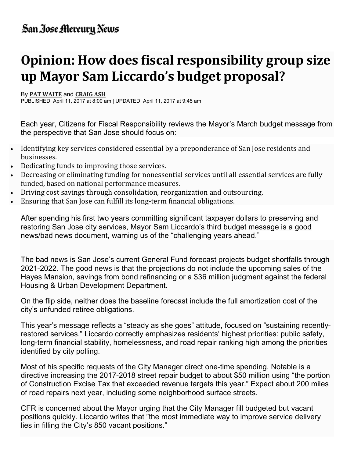## San Jose Mercury News

## Opinion: How does fiscal responsibility group size up Mayor Sam Liccardo's budget proposal?

## By PAT WAITE and CRAIG ASH |

PUBLISHED: April 11, 2017 at 8:00 am | UPDATED: April 11, 2017 at 9:45 am

Each year, Citizens for Fiscal Responsibility reviews the Mayor's March budget message from the perspective that San Jose should focus on:

- Identifying key services considered essential by a preponderance of San Jose residents and businesses.
- Dedicating funds to improving those services.
- Decreasing or eliminating funding for nonessential services until all essential services are fully funded, based on national performance measures.
- Driving cost savings through consolidation, reorganization and outsourcing.
- Ensuring that San Jose can fulfill its long-term financial obligations.

After spending his first two years committing significant taxpayer dollars to preserving and restoring San Jose city services, Mayor Sam Liccardo's third budget message is a good news/bad news document, warning us of the "challenging years ahead."

The bad news is San Jose's current General Fund forecast projects budget shortfalls through 2021-2022. The good news is that the projections do not include the upcoming sales of the Hayes Mansion, savings from bond refinancing or a \$36 million judgment against the federal Housing & Urban Development Department.

On the flip side, neither does the baseline forecast include the full amortization cost of the city's unfunded retiree obligations.

This year's message reflects a "steady as she goes" attitude, focused on "sustaining recentlyrestored services." Liccardo correctly emphasizes residents' highest priorities: public safety, long-term financial stability, homelessness, and road repair ranking high among the priorities identified by city polling.

Most of his specific requests of the City Manager direct one-time spending. Notable is a directive increasing the 2017-2018 street repair budget to about \$50 million using "the portion of Construction Excise Tax that exceeded revenue targets this year." Expect about 200 miles of road repairs next year, including some neighborhood surface streets.

CFR is concerned about the Mayor urging that the City Manager fill budgeted but vacant positions quickly. Liccardo writes that "the most immediate way to improve service delivery lies in filling the City's 850 vacant positions."